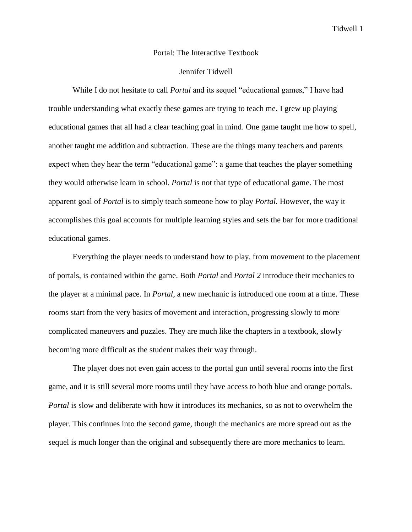## Portal: The Interactive Textbook

## Jennifer Tidwell

While I do not hesitate to call *Portal* and its sequel "educational games," I have had trouble understanding what exactly these games are trying to teach me. I grew up playing educational games that all had a clear teaching goal in mind. One game taught me how to spell, another taught me addition and subtraction. These are the things many teachers and parents expect when they hear the term "educational game": a game that teaches the player something they would otherwise learn in school. *Portal* is not that type of educational game. The most apparent goal of *Portal* is to simply teach someone how to play *Portal.* However, the way it accomplishes this goal accounts for multiple learning styles and sets the bar for more traditional educational games.

Everything the player needs to understand how to play, from movement to the placement of portals, is contained within the game. Both *Portal* and *Portal 2* introduce their mechanics to the player at a minimal pace. In *Portal*, a new mechanic is introduced one room at a time. These rooms start from the very basics of movement and interaction, progressing slowly to more complicated maneuvers and puzzles. They are much like the chapters in a textbook, slowly becoming more difficult as the student makes their way through.

The player does not even gain access to the portal gun until several rooms into the first game, and it is still several more rooms until they have access to both blue and orange portals. *Portal* is slow and deliberate with how it introduces its mechanics, so as not to overwhelm the player. This continues into the second game, though the mechanics are more spread out as the sequel is much longer than the original and subsequently there are more mechanics to learn.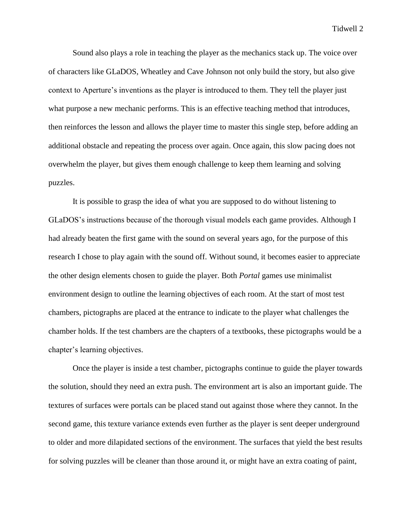Sound also plays a role in teaching the player as the mechanics stack up. The voice over of characters like GLaDOS, Wheatley and Cave Johnson not only build the story, but also give context to Aperture's inventions as the player is introduced to them. They tell the player just what purpose a new mechanic performs. This is an effective teaching method that introduces, then reinforces the lesson and allows the player time to master this single step, before adding an additional obstacle and repeating the process over again. Once again, this slow pacing does not overwhelm the player, but gives them enough challenge to keep them learning and solving puzzles.

It is possible to grasp the idea of what you are supposed to do without listening to GLaDOS's instructions because of the thorough visual models each game provides. Although I had already beaten the first game with the sound on several years ago, for the purpose of this research I chose to play again with the sound off. Without sound, it becomes easier to appreciate the other design elements chosen to guide the player. Both *Portal* games use minimalist environment design to outline the learning objectives of each room. At the start of most test chambers, pictographs are placed at the entrance to indicate to the player what challenges the chamber holds. If the test chambers are the chapters of a textbooks, these pictographs would be a chapter's learning objectives.

Once the player is inside a test chamber, pictographs continue to guide the player towards the solution, should they need an extra push. The environment art is also an important guide. The textures of surfaces were portals can be placed stand out against those where they cannot. In the second game, this texture variance extends even further as the player is sent deeper underground to older and more dilapidated sections of the environment. The surfaces that yield the best results for solving puzzles will be cleaner than those around it, or might have an extra coating of paint,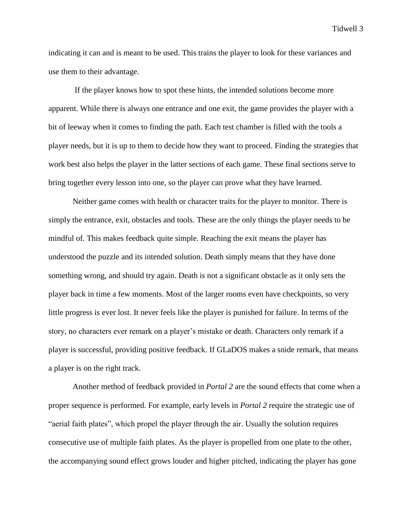indicating it can and is meant to be used. This trains the player to look for these variances and use them to their advantage.

If the player knows how to spot these hints, the intended solutions become more apparent. While there is always one entrance and one exit, the game provides the player with a bit of leeway when it comes to finding the path. Each test chamber is filled with the tools a player needs, but it is up to them to decide how they want to proceed. Finding the strategies that work best also helps the player in the latter sections of each game. These final sections serve to bring together every lesson into one, so the player can prove what they have learned.

Neither game comes with health or character traits for the player to monitor. There is simply the entrance, exit, obstacles and tools. These are the only things the player needs to be mindful of. This makes feedback quite simple. Reaching the exit means the player has understood the puzzle and its intended solution. Death simply means that they have done something wrong, and should try again. Death is not a significant obstacle as it only sets the player back in time a few moments. Most of the larger rooms even have checkpoints, so very little progress is ever lost. It never feels like the player is punished for failure. In terms of the story, no characters ever remark on a player's mistake or death. Characters only remark if a player is successful, providing positive feedback. If GLaDOS makes a snide remark, that means a player is on the right track.

Another method of feedback provided in *Portal 2* are the sound effects that come when a proper sequence is performed. For example, early levels in *Portal 2* require the strategic use of "aerial faith plates", which propel the player through the air. Usually the solution requires consecutive use of multiple faith plates. As the player is propelled from one plate to the other, the accompanying sound effect grows louder and higher pitched, indicating the player has gone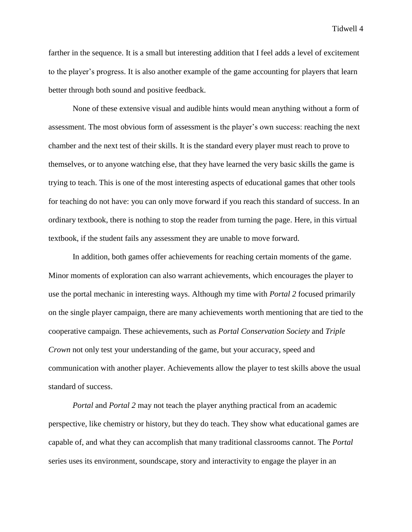farther in the sequence. It is a small but interesting addition that I feel adds a level of excitement to the player's progress. It is also another example of the game accounting for players that learn better through both sound and positive feedback.

None of these extensive visual and audible hints would mean anything without a form of assessment. The most obvious form of assessment is the player's own success: reaching the next chamber and the next test of their skills. It is the standard every player must reach to prove to themselves, or to anyone watching else, that they have learned the very basic skills the game is trying to teach. This is one of the most interesting aspects of educational games that other tools for teaching do not have: you can only move forward if you reach this standard of success. In an ordinary textbook, there is nothing to stop the reader from turning the page. Here, in this virtual textbook, if the student fails any assessment they are unable to move forward.

In addition, both games offer achievements for reaching certain moments of the game. Minor moments of exploration can also warrant achievements, which encourages the player to use the portal mechanic in interesting ways. Although my time with *Portal 2* focused primarily on the single player campaign, there are many achievements worth mentioning that are tied to the cooperative campaign. These achievements, such as *Portal Conservation Society* and *Triple Crown* not only test your understanding of the game, but your accuracy, speed and communication with another player. Achievements allow the player to test skills above the usual standard of success.

*Portal* and *Portal 2* may not teach the player anything practical from an academic perspective, like chemistry or history, but they do teach. They show what educational games are capable of, and what they can accomplish that many traditional classrooms cannot. The *Portal*  series uses its environment, soundscape, story and interactivity to engage the player in an